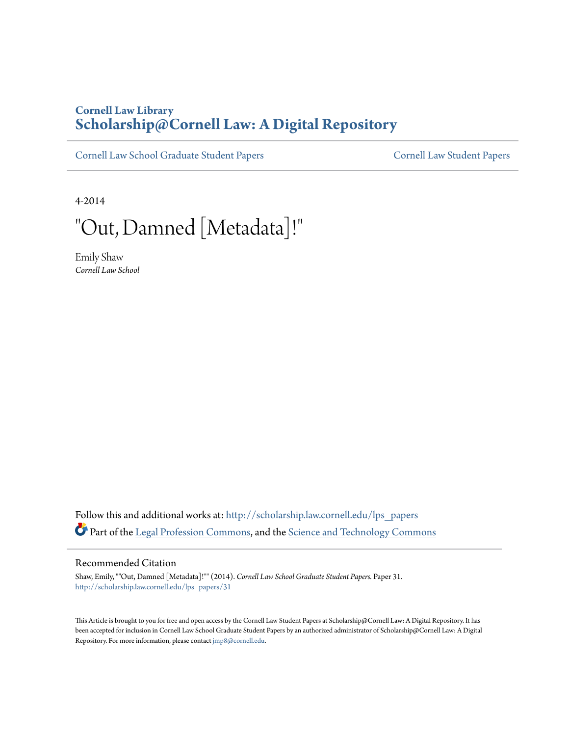# **Cornell Law Library [Scholarship@Cornell Law: A Digital Repository](http://scholarship.law.cornell.edu?utm_source=scholarship.law.cornell.edu%2Flps_papers%2F31&utm_medium=PDF&utm_campaign=PDFCoverPages)**

[Cornell Law School Graduate Student Papers](http://scholarship.law.cornell.edu/lps_papers?utm_source=scholarship.law.cornell.edu%2Flps_papers%2F31&utm_medium=PDF&utm_campaign=PDFCoverPages) [Cornell Law Student Papers](http://scholarship.law.cornell.edu/stu_papers?utm_source=scholarship.law.cornell.edu%2Flps_papers%2F31&utm_medium=PDF&utm_campaign=PDFCoverPages)

4-2014

"Out, Damned [Metadata]!"

Emily Shaw *Cornell Law School*

Follow this and additional works at: [http://scholarship.law.cornell.edu/lps\\_papers](http://scholarship.law.cornell.edu/lps_papers?utm_source=scholarship.law.cornell.edu%2Flps_papers%2F31&utm_medium=PDF&utm_campaign=PDFCoverPages) Part of the [Legal Profession Commons,](http://network.bepress.com/hgg/discipline/1075?utm_source=scholarship.law.cornell.edu%2Flps_papers%2F31&utm_medium=PDF&utm_campaign=PDFCoverPages) and the [Science and Technology Commons](http://network.bepress.com/hgg/discipline/875?utm_source=scholarship.law.cornell.edu%2Flps_papers%2F31&utm_medium=PDF&utm_campaign=PDFCoverPages)

#### Recommended Citation

Shaw, Emily, ""Out, Damned [Metadata]!"" (2014). *Cornell Law School Graduate Student Papers.* Paper 31. [http://scholarship.law.cornell.edu/lps\\_papers/31](http://scholarship.law.cornell.edu/lps_papers/31?utm_source=scholarship.law.cornell.edu%2Flps_papers%2F31&utm_medium=PDF&utm_campaign=PDFCoverPages)

This Article is brought to you for free and open access by the Cornell Law Student Papers at Scholarship@Cornell Law: A Digital Repository. It has been accepted for inclusion in Cornell Law School Graduate Student Papers by an authorized administrator of Scholarship@Cornell Law: A Digital Repository. For more information, please contact [jmp8@cornell.edu.](mailto:jmp8@cornell.edu)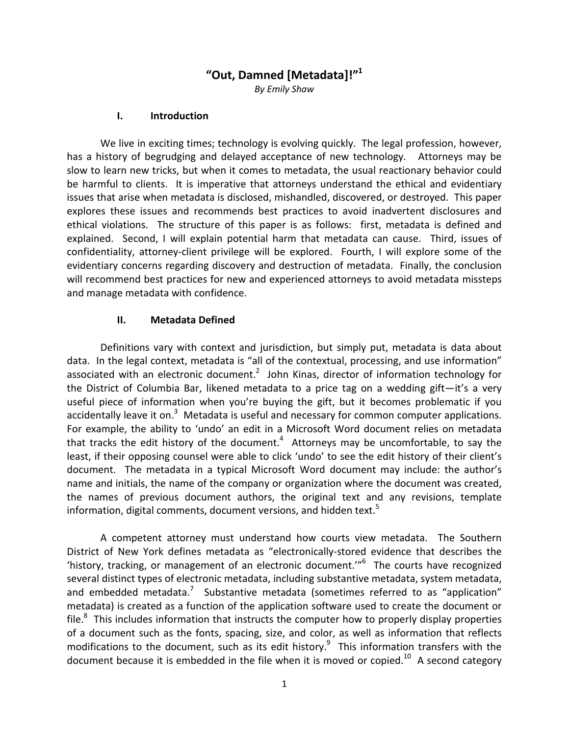# "Out, Damned [Metadata]!"<sup>1</sup>

By Emily Shaw

#### I. Introduction

We live in exciting times; technology is evolving quickly. The legal profession, however, has a history of begrudging and delayed acceptance of new technology. Attorneys may be slow to learn new tricks, but when it comes to metadata, the usual reactionary behavior could be harmful to clients. It is imperative that attorneys understand the ethical and evidentiary issues that arise when metadata is disclosed, mishandled, discovered, or destroyed. This paper explores these issues and recommends best practices to avoid inadvertent disclosures and ethical violations. The structure of this paper is as follows: first, metadata is defined and explained. Second, I will explain potential harm that metadata can cause. Third, issues of confidentiality, attorney-client privilege will be explored. Fourth, I will explore some of the evidentiary concerns regarding discovery and destruction of metadata. Finally, the conclusion will recommend best practices for new and experienced attorneys to avoid metadata missteps and manage metadata with confidence.

#### II. Metadata Defined

Definitions vary with context and jurisdiction, but simply put, metadata is data about data. In the legal context, metadata is "all of the contextual, processing, and use information" associated with an electronic document.<sup>2</sup> John Kinas, director of information technology for the District of Columbia Bar, likened metadata to a price tag on a wedding gift—it's a very useful piece of information when you're buying the gift, but it becomes problematic if you accidentally leave it on.<sup>3</sup> Metadata is useful and necessary for common computer applications. For example, the ability to 'undo' an edit in a Microsoft Word document relies on metadata that tracks the edit history of the document.<sup>4</sup> Attorneys may be uncomfortable, to say the least, if their opposing counsel were able to click 'undo' to see the edit history of their client's document. The metadata in a typical Microsoft Word document may include: the author's name and initials, the name of the company or organization where the document was created, the names of previous document authors, the original text and any revisions, template information, digital comments, document versions, and hidden text.<sup>5</sup>

A competent attorney must understand how courts view metadata. The Southern District of New York defines metadata as "electronically-stored evidence that describes the 'history, tracking, or management of an electronic document.'"<sup>6</sup> The courts have recognized several distinct types of electronic metadata, including substantive metadata, system metadata, and embedded metadata.<sup>7</sup> Substantive metadata (sometimes referred to as "application" metadata) is created as a function of the application software used to create the document or file. $8$  This includes information that instructs the computer how to properly display properties of a document such as the fonts, spacing, size, and color, as well as information that reflects modifications to the document, such as its edit history. $9$  This information transfers with the document because it is embedded in the file when it is moved or copied.<sup>10</sup> A second category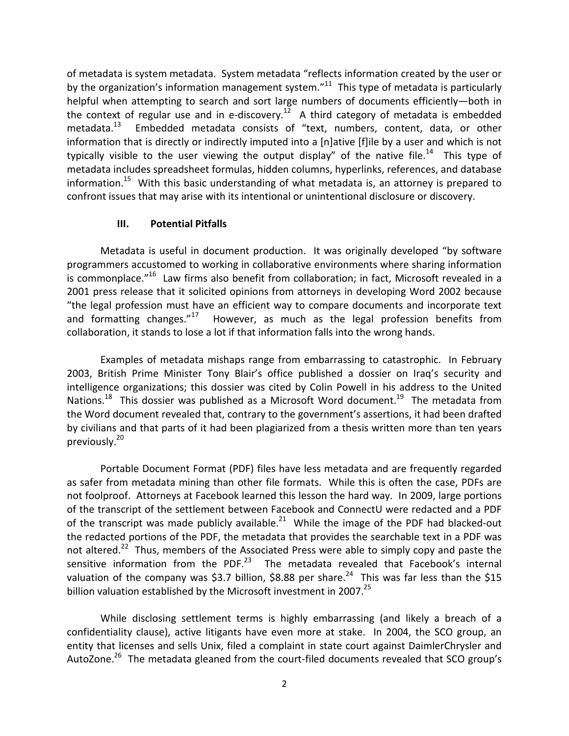of metadata is system metadata. System metadata "reflects information created by the user or by the organization's information management system."<sup>11</sup> This type of metadata is particularly helpful when attempting to search and sort large numbers of documents efficiently—both in the context of regular use and in e-discovery.<sup>12</sup> A third category of metadata is embedded metadata.<sup>13</sup> Embedded metadata consists of "text, numbers, content, data, or other information that is directly or indirectly imputed into a [n]ative [f]ile by a user and which is not typically visible to the user viewing the output display" of the native file.<sup>14</sup> This type of metadata includes spreadsheet formulas, hidden columns, hyperlinks, references, and database information.<sup>15</sup> With this basic understanding of what metadata is, an attorney is prepared to confront issues that may arise with its intentional or unintentional disclosure or discovery.

### III. Potential Pitfalls

Metadata is useful in document production. It was originally developed "by software programmers accustomed to working in collaborative environments where sharing information is commonplace."<sup>16</sup> Law firms also benefit from collaboration; in fact, Microsoft revealed in a 2001 press release that it solicited opinions from attorneys in developing Word 2002 because "the legal profession must have an efficient way to compare documents and incorporate text and formatting changes." $17$  However, as much as the legal profession benefits from collaboration, it stands to lose a lot if that information falls into the wrong hands.

Examples of metadata mishaps range from embarrassing to catastrophic. In February 2003, British Prime Minister Tony Blair's office published a dossier on Iraq's security and intelligence organizations; this dossier was cited by Colin Powell in his address to the United Nations.<sup>18</sup> This dossier was published as a Microsoft Word document.<sup>19</sup> The metadata from the Word document revealed that, contrary to the government's assertions, it had been drafted by civilians and that parts of it had been plagiarized from a thesis written more than ten years previously.<sup>20</sup>

 Portable Document Format (PDF) files have less metadata and are frequently regarded as safer from metadata mining than other file formats. While this is often the case, PDFs are not foolproof. Attorneys at Facebook learned this lesson the hard way. In 2009, large portions of the transcript of the settlement between Facebook and ConnectU were redacted and a PDF of the transcript was made publicly available.<sup>21</sup> While the image of the PDF had blacked-out the redacted portions of the PDF, the metadata that provides the searchable text in a PDF was not altered.<sup>22</sup> Thus, members of the Associated Press were able to simply copy and paste the sensitive information from the PDF. $^{23}$  The metadata revealed that Facebook's internal valuation of the company was \$3.7 billion, \$8.88 per share.<sup>24</sup> This was far less than the \$15 billion valuation established by the Microsoft investment in 2007. $^{25}$ 

 While disclosing settlement terms is highly embarrassing (and likely a breach of a confidentiality clause), active litigants have even more at stake. In 2004, the SCO group, an entity that licenses and sells Unix, filed a complaint in state court against DaimlerChrysler and AutoZone.<sup>26</sup> The metadata gleaned from the court-filed documents revealed that SCO group's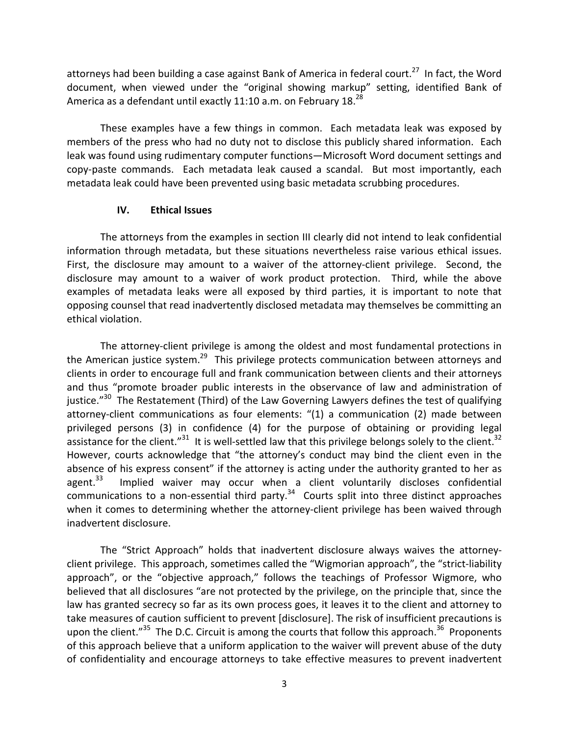attorneys had been building a case against Bank of America in federal court.<sup>27</sup> In fact, the Word document, when viewed under the "original showing markup" setting, identified Bank of America as a defendant until exactly 11:10 a.m. on February  $18.^{28}$ 

 These examples have a few things in common. Each metadata leak was exposed by members of the press who had no duty not to disclose this publicly shared information. Each leak was found using rudimentary computer functions—Microsoft Word document settings and copy-paste commands. Each metadata leak caused a scandal. But most importantly, each metadata leak could have been prevented using basic metadata scrubbing procedures.

### IV. Ethical Issues

The attorneys from the examples in section III clearly did not intend to leak confidential information through metadata, but these situations nevertheless raise various ethical issues. First, the disclosure may amount to a waiver of the attorney-client privilege. Second, the disclosure may amount to a waiver of work product protection. Third, while the above examples of metadata leaks were all exposed by third parties, it is important to note that opposing counsel that read inadvertently disclosed metadata may themselves be committing an ethical violation.

The attorney-client privilege is among the oldest and most fundamental protections in the American justice system.<sup>29</sup> This privilege protects communication between attorneys and clients in order to encourage full and frank communication between clients and their attorneys and thus "promote broader public interests in the observance of law and administration of justice."<sup>30</sup> The Restatement (Third) of the Law Governing Lawyers defines the test of qualifying attorney-client communications as four elements: "(1) a communication (2) made between privileged persons (3) in confidence (4) for the purpose of obtaining or providing legal assistance for the client."<sup>31</sup> It is well-settled law that this privilege belongs solely to the client.<sup>32</sup> However, courts acknowledge that "the attorney's conduct may bind the client even in the absence of his express consent" if the attorney is acting under the authority granted to her as agent. $33$  Implied waiver may occur when a client voluntarily discloses confidential communications to a non-essential third party.<sup>34</sup> Courts split into three distinct approaches when it comes to determining whether the attorney-client privilege has been waived through inadvertent disclosure.

The "Strict Approach" holds that inadvertent disclosure always waives the attorneyclient privilege. This approach, sometimes called the "Wigmorian approach", the "strict-liability approach", or the "objective approach," follows the teachings of Professor Wigmore, who believed that all disclosures "are not protected by the privilege, on the principle that, since the law has granted secrecy so far as its own process goes, it leaves it to the client and attorney to take measures of caution sufficient to prevent [disclosure]. The risk of insufficient precautions is upon the client." $35$  The D.C. Circuit is among the courts that follow this approach.  $36$  Proponents of this approach believe that a uniform application to the waiver will prevent abuse of the duty of confidentiality and encourage attorneys to take effective measures to prevent inadvertent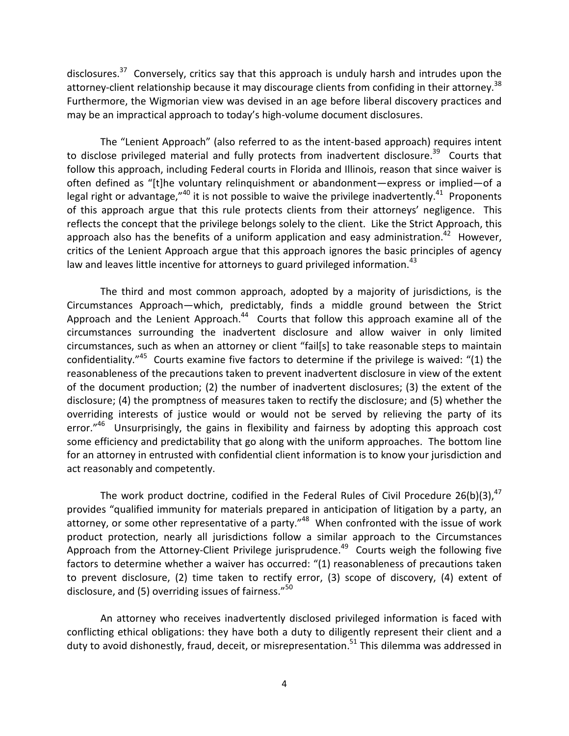disclosures.<sup>37</sup> Conversely, critics say that this approach is unduly harsh and intrudes upon the attorney-client relationship because it may discourage clients from confiding in their attorney.<sup>38</sup> Furthermore, the Wigmorian view was devised in an age before liberal discovery practices and may be an impractical approach to today's high-volume document disclosures.

The "Lenient Approach" (also referred to as the intent-based approach) requires intent to disclose privileged material and fully protects from inadvertent disclosure.<sup>39</sup> Courts that follow this approach, including Federal courts in Florida and Illinois, reason that since waiver is often defined as "[t]he voluntary relinquishment or abandonment—express or implied—of a legal right or advantage, $^{\prime\prime 40}$  it is not possible to waive the privilege inadvertently.<sup>41</sup> Proponents of this approach argue that this rule protects clients from their attorneys' negligence. This reflects the concept that the privilege belongs solely to the client. Like the Strict Approach, this approach also has the benefits of a uniform application and easy administration.<sup>42</sup> However, critics of the Lenient Approach argue that this approach ignores the basic principles of agency law and leaves little incentive for attorneys to guard privileged information.  $43$ 

The third and most common approach, adopted by a majority of jurisdictions, is the Circumstances Approach—which, predictably, finds a middle ground between the Strict Approach and the Lenient Approach.<sup>44</sup> Courts that follow this approach examine all of the circumstances surrounding the inadvertent disclosure and allow waiver in only limited circumstances, such as when an attorney or client "fail[s] to take reasonable steps to maintain confidentiality."<sup>45</sup> Courts examine five factors to determine if the privilege is waived: "(1) the reasonableness of the precautions taken to prevent inadvertent disclosure in view of the extent of the document production; (2) the number of inadvertent disclosures; (3) the extent of the disclosure; (4) the promptness of measures taken to rectify the disclosure; and (5) whether the overriding interests of justice would or would not be served by relieving the party of its error."<sup>46</sup> Unsurprisingly, the gains in flexibility and fairness by adopting this approach cost some efficiency and predictability that go along with the uniform approaches. The bottom line for an attorney in entrusted with confidential client information is to know your jurisdiction and act reasonably and competently.

The work product doctrine, codified in the Federal Rules of Civil Procedure 26(b)(3), $47$ provides "qualified immunity for materials prepared in anticipation of litigation by a party, an attorney, or some other representative of a party."<sup>48</sup> When confronted with the issue of work product protection, nearly all jurisdictions follow a similar approach to the Circumstances Approach from the Attorney-Client Privilege jurisprudence.<sup>49</sup> Courts weigh the following five factors to determine whether a waiver has occurred: "(1) reasonableness of precautions taken to prevent disclosure, (2) time taken to rectify error, (3) scope of discovery, (4) extent of disclosure, and (5) overriding issues of fairness."<sup>50</sup>

An attorney who receives inadvertently disclosed privileged information is faced with conflicting ethical obligations: they have both a duty to diligently represent their client and a duty to avoid dishonestly, fraud, deceit, or misrepresentation.<sup>51</sup> This dilemma was addressed in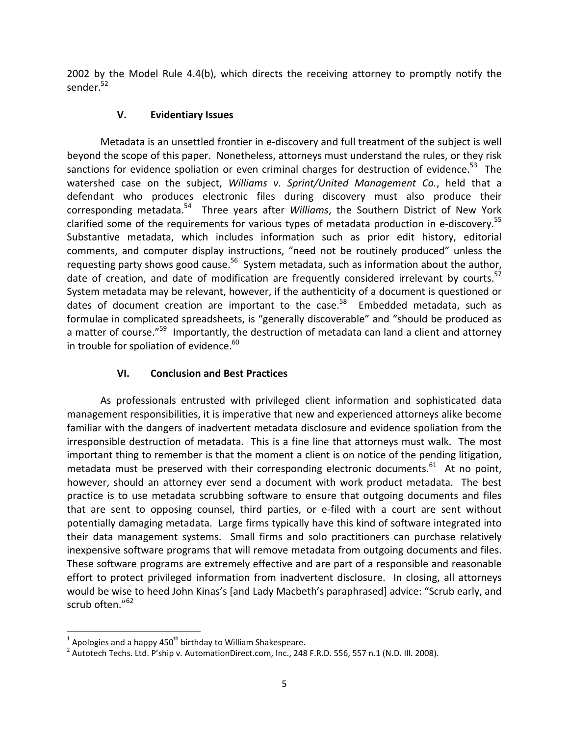2002 by the Model Rule 4.4(b), which directs the receiving attorney to promptly notify the sender.<sup>52</sup>

### V. Evidentiary Issues

Metadata is an unsettled frontier in e-discovery and full treatment of the subject is well beyond the scope of this paper. Nonetheless, attorneys must understand the rules, or they risk sanctions for evidence spoliation or even criminal charges for destruction of evidence.<sup>53</sup> The watershed case on the subject, Williams v. Sprint/United Management Co., held that a defendant who produces electronic files during discovery must also produce their corresponding metadata.<sup>54</sup> Three years after Williams, the Southern District of New York clarified some of the requirements for various types of metadata production in e-discovery.<sup>55</sup> Substantive metadata, which includes information such as prior edit history, editorial comments, and computer display instructions, "need not be routinely produced" unless the requesting party shows good cause.<sup>56</sup> System metadata, such as information about the author, date of creation, and date of modification are frequently considered irrelevant by courts.<sup>57</sup> System metadata may be relevant, however, if the authenticity of a document is questioned or dates of document creation are important to the case.<sup>58</sup> Embedded metadata, such as formulae in complicated spreadsheets, is "generally discoverable" and "should be produced as a matter of course."<sup>59</sup> Importantly, the destruction of metadata can land a client and attorney in trouble for spoliation of evidence.<sup>60</sup>

# VI. Conclusion and Best Practices

As professionals entrusted with privileged client information and sophisticated data management responsibilities, it is imperative that new and experienced attorneys alike become familiar with the dangers of inadvertent metadata disclosure and evidence spoliation from the irresponsible destruction of metadata. This is a fine line that attorneys must walk. The most important thing to remember is that the moment a client is on notice of the pending litigation, metadata must be preserved with their corresponding electronic documents.<sup>61</sup> At no point, however, should an attorney ever send a document with work product metadata. The best practice is to use metadata scrubbing software to ensure that outgoing documents and files that are sent to opposing counsel, third parties, or e-filed with a court are sent without potentially damaging metadata. Large firms typically have this kind of software integrated into their data management systems. Small firms and solo practitioners can purchase relatively inexpensive software programs that will remove metadata from outgoing documents and files. These software programs are extremely effective and are part of a responsible and reasonable effort to protect privileged information from inadvertent disclosure. In closing, all attorneys would be wise to heed John Kinas's [and Lady Macbeth's paraphrased] advice: "Scrub early, and scrub often."<sup>62</sup>

<u>.</u>

<sup>&</sup>lt;sup>1</sup> Apologies and a happy 450<sup>th</sup> birthday to William Shakespeare.

 $^2$  Autotech Techs. Ltd. P'ship v. AutomationDirect.com, Inc., 248 F.R.D. 556, 557 n.1 (N.D. Ill. 2008).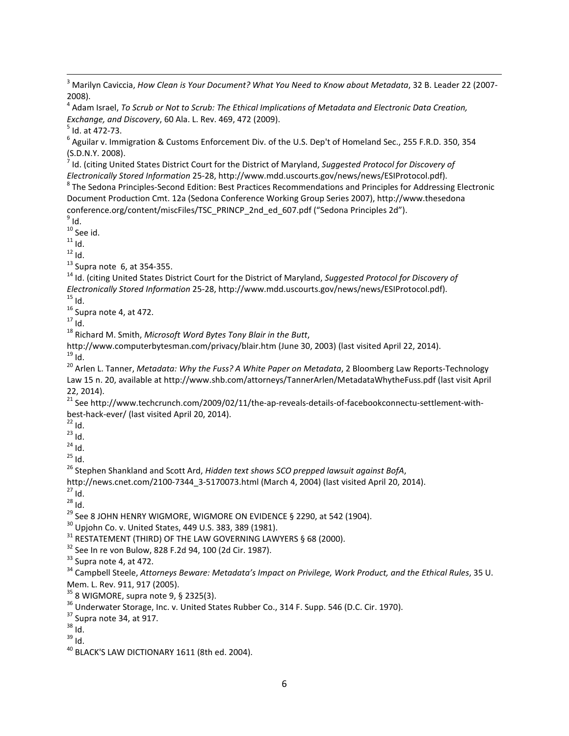<sup>3</sup> Marilyn Caviccia, How Clean is Your Document? What You Need to Know about Metadata, 32 B. Leader 22 (2007-2008).

<sup>4</sup> Adam Israel, To Scrub or Not to Scrub: The Ethical Implications of Metadata and Electronic Data Creation, Exchange, and Discovery, 60 Ala. L. Rev. 469, 472 (2009).

 $<sup>5</sup>$  Id. at 472-73.</sup>

<sup>6</sup> Aguilar v. Immigration & Customs Enforcement Div. of the U.S. Dep't of Homeland Sec., 255 F.R.D. 350, 354 (S.D.N.Y. 2008).

<sup>7</sup> Id. (citing United States District Court for the District of Maryland, Suggested Protocol for Discovery of Electronically Stored Information 25-28, http://www.mdd.uscourts.gov/news/news/ESIProtocol.pdf).

<sup>8</sup> The Sedona Principles-Second Edition: Best Practices Recommendations and Principles for Addressing Electronic Document Production Cmt. 12a (Sedona Conference Working Group Series 2007), http://www.thesedona conference.org/content/miscFiles/TSC\_PRINCP\_2nd\_ed\_607.pdf ("Sedona Principles 2d").

 $^9$  Id.

l

 $10$  See id.

 $11$  Id.

 $12$  Id.

 $^{13}$  Supra note 6, at 354-355.

<sup>14</sup> Id. (citing United States District Court for the District of Maryland, Suggested Protocol for Discovery of Electronically Stored Information 25-28, http://www.mdd.uscourts.gov/news/news/ESIProtocol.pdf).  $15$  Id.

 $16$  Supra note 4, at 472.

 $17$  Id.

 $18$  Richard M. Smith, Microsoft Word Bytes Tony Blair in the Butt,

http://www.computerbytesman.com/privacy/blair.htm (June 30, 2003) (last visited April 22, 2014).  $^{19}$ ld.

<sup>20</sup> Arlen L. Tanner, Metadata: Why the Fuss? A White Paper on Metadata, 2 Bloomberg Law Reports-Technology Law 15 n. 20, available at http://www.shb.com/attorneys/TannerArlen/MetadataWhytheFuss.pdf (last visit April 22, 2014).

<sup>21</sup> See http://www.techcrunch.com/2009/02/11/the-ap-reveals-details-of-facebookconnectu-settlement-withbest-hack-ever/ (last visited April 20, 2014).

 $22$  Id.

 $^{23}$  id.

 $24$  Id.

 $25$  Id.

 $26$  Stephen Shankland and Scott Ard, Hidden text shows SCO prepped lawsuit against BofA,

http://news.cnet.com/2100-7344\_3-5170073.html (March 4, 2004) (last visited April 20, 2014).

 $27$  Id.

 $28$  Id.

 $^{29}$  See 8 JOHN HENRY WIGMORE, WIGMORE ON EVIDENCE § 2290, at 542 (1904).

<sup>30</sup> Upjohn Co. v. United States, 449 U.S. 383, 389 (1981).

<sup>31</sup> RESTATEMENT (THIRD) OF THE LAW GOVERNING LAWYERS § 68 (2000).

<sup>32</sup> See In re von Bulow, 828 F.2d 94, 100 (2d Cir. 1987).

 $33$  Supra note 4, at 472.

<sup>34</sup> Campbell Steele, Attorneys Beware: Metadata's Impact on Privilege, Work Product, and the Ethical Rules, 35 U. Mem. L. Rev. 911, 917 (2005).

 $35$  8 WIGMORE, supra note 9, § 2325(3).

<sup>36</sup> Underwater Storage, Inc. v. United States Rubber Co., 314 F. Supp. 546 (D.C. Cir. 1970).

 $37$  Supra note 34, at 917.

<sup>38</sup> Id.

<sup>39</sup> Id.

 $40$  BLACK'S LAW DICTIONARY 1611 (8th ed. 2004).